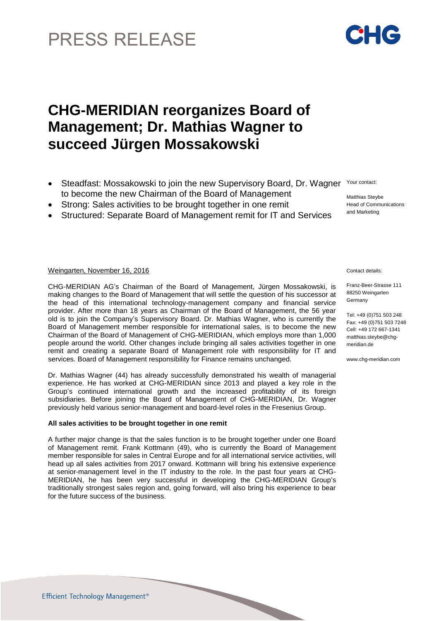# PRESS RELEASE

## **CHG-MERIDIAN reorganizes Board of Management; Dr. Mathias Wagner to succeed Jürgen Mossakowski**

- Steadfast: Mossakowski to join the new Supervisory Board, Dr. Wagner Your contact: to become the new Chairman of the Board of Management Matthias Steybe
- Strong: Sales activities to be brought together in one remit
- Structured: Separate Board of Management remit for IT and Services

### Weingarten, November 16, 2016 Contact details:

CHG-MERIDIAN AG's Chairman of the Board of Management, Jürgen Mossakowski, is making changes to the Board of Management that will settle the question of his successor at the head of this international technology-management company and financial service provider. After more than 18 years as Chairman of the Board of Management, the 56 year old is to join the Company's Supervisory Board. Dr. Mathias Wagner, who is currently the Board of Management member responsible for international sales, is to become the new Chairman of the Board of Management of CHG-MERIDIAN, which employs more than 1,000 people around the world. Other changes include bringing all sales activities together in one remit and creating a separate Board of Management role with responsibility for IT and services. Board of Management responsibility for Finance remains unchanged.

Dr. Mathias Wagner (44) has already successfully demonstrated his wealth of managerial experience. He has worked at CHG-MERIDIAN since 2013 and played a key role in the Group's continued international growth and the increased profitability of its foreign subsidiaries. Before joining the Board of Management of CHG-MERIDIAN, Dr. Wagner previously held various senior-management and board-level roles in the Fresenius Group.

### **All sales activities to be brought together in one remit**

A further major change is that the sales function is to be brought together under one Board of Management remit. Frank Kottmann (49), who is currently the Board of Management member responsible for sales in Central Europe and for all international service activities, will head up all sales activities from 2017 onward. Kottmann will bring his extensive experience at senior-management level in the IT industry to the role. In the past four years at CHG-MERIDIAN, he has been very successful in developing the CHG-MERIDIAN Group's traditionally strongest sales region and, going forward, will also bring his experience to bear for the future success of the business.

Franz-Beer-Strasse 111 88250 Weingarten Germany

Head of Communications and Marketing

Tel: +49 (0)751 503 248 Fax: +49 (0)751 503 7248 Cell: +49 172 667-1341 [matthias.steybe@chg](mailto:matthias.steybe@chg-)meridian.de

www.chg-meridian.com